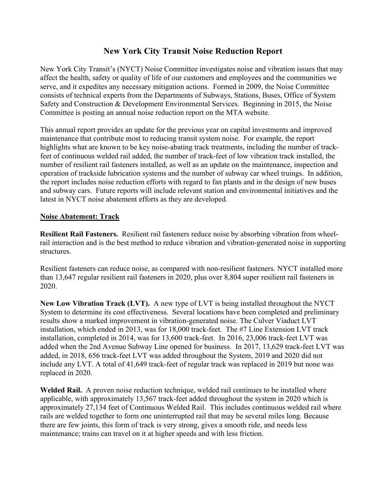# **New York City Transit Noise Reduction Report**

New York City Transit's (NYCT) Noise Committee investigates noise and vibration issues that may affect the health, safety or quality of life of our customers and employees and the communities we serve, and it expedites any necessary mitigation actions. Formed in 2009, the Noise Committee consists of technical experts from the Departments of Subways, Stations, Buses, Office of System Safety and Construction & Development Environmental Services. Beginning in 2015, the Noise Committee is posting an annual noise reduction report on the MTA website.

This annual report provides an update for the previous year on capital investments and improved maintenance that contribute most to reducing transit system noise. For example, the report highlights what are known to be key noise-abating track treatments, including the number of trackfeet of continuous welded rail added, the number of track-feet of low vibration track installed, the number of resilient rail fasteners installed, as well as an update on the maintenance, inspection and operation of trackside lubrication systems and the number of subway car wheel truings. In addition, the report includes noise reduction efforts with regard to fan plants and in the design of new buses and subway cars. Future reports will include relevant station and environmental initiatives and the latest in NYCT noise abatement efforts as they are developed.

## **Noise Abatement: Track**

**Resilient Rail Fasteners.** Resilient rail fasteners reduce noise by absorbing vibration from wheelrail interaction and is the best method to reduce vibration and vibration-generated noise in supporting structures.

Resilient fasteners can reduce noise, as compared with non-resilient fasteners. NYCT installed more than 13,647 regular resilient rail fasteners in 2020, plus over 8,804 super resilient rail fasteners in 2020.

**New Low Vibration Track (LVT).** A new type of LVT is being installed throughout the NYCT System to determine its cost effectiveness. Several locations have been completed and preliminary results show a marked improvement in vibration-generated noise. The Culver Viaduct LVT installation, which ended in 2013, was for 18,000 track-feet. The #7 Line Extension LVT track installation, completed in 2014, was for 13,600 track-feet. In 2016, 23,006 track-feet LVT was added when the 2nd Avenue Subway Line opened for business. In 2017, 13,629 track-feet LVT was added, in 2018, 656 track-feet LVT was added throughout the System, 2019 and 2020 did not include any LVT. A total of 41,649 track-feet of regular track was replaced in 2019 but none was replaced in 2020.

**Welded Rail.** A proven noise reduction technique, welded rail continues to be installed where applicable, with approximately 13,567 track-feet added throughout the system in 2020 which is approximately 27,134 feet of Continuous Welded Rail. This includes continuous welded rail where rails are welded together to form one uninterrupted rail that may be several miles long. Because there are few joints, this form of track is very strong, gives a smooth ride, and needs less maintenance; trains can travel on it at higher speeds and with less friction.